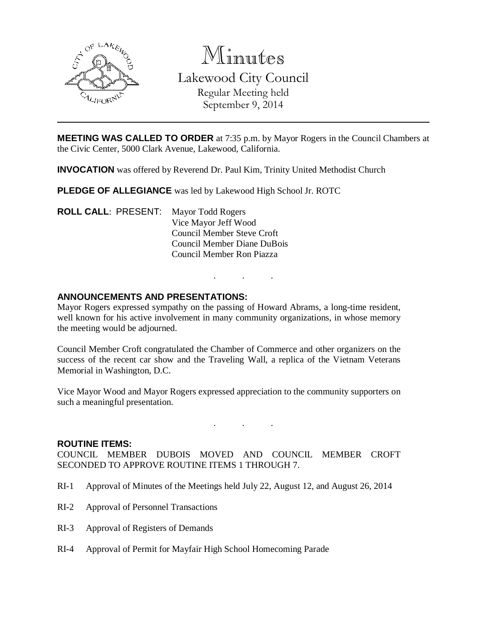

# Minutes

Lakewood City Council Regular Meeting held September 9, 2014

**MEETING WAS CALLED TO ORDER** at 7:35 p.m. by Mayor Rogers in the Council Chambers at the Civic Center, 5000 Clark Avenue, Lakewood, California.

**INVOCATION** was offered by Reverend Dr. Paul Kim, Trinity United Methodist Church

**PLEDGE OF ALLEGIANCE** was led by Lakewood High School Jr. ROTC

**ROLL CALL**: PRESENT: Mayor Todd Rogers Vice Mayor Jeff Wood Council Member Steve Croft Council Member Diane DuBois Council Member Ron Piazza

## **ANNOUNCEMENTS AND PRESENTATIONS:**

Mayor Rogers expressed sympathy on the passing of Howard Abrams, a long-time resident, well known for his active involvement in many community organizations, in whose memory the meeting would be adjourned.

. . .

Council Member Croft congratulated the Chamber of Commerce and other organizers on the success of the recent car show and the Traveling Wall, a replica of the Vietnam Veterans Memorial in Washington, D.C.

Vice Mayor Wood and Mayor Rogers expressed appreciation to the community supporters on such a meaningful presentation.

. . .

#### **ROUTINE ITEMS:**

COUNCIL MEMBER DUBOIS MOVED AND COUNCIL MEMBER CROFT SECONDED TO APPROVE ROUTINE ITEMS 1 THROUGH 7.

- RI-1 Approval of Minutes of the Meetings held July 22, August 12, and August 26, 2014
- RI-2 Approval of Personnel Transactions
- RI-3 Approval of Registers of Demands
- RI-4 Approval of Permit for Mayfair High School Homecoming Parade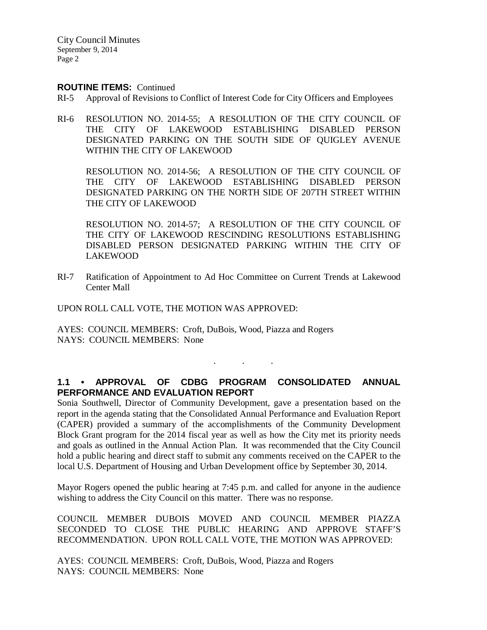City Council Minutes September 9, 2014 Page 2

#### **ROUTINE ITEMS:** Continued

- RI-5 Approval of Revisions to Conflict of Interest Code for City Officers and Employees
- RI-6 RESOLUTION NO. 2014-55; A RESOLUTION OF THE CITY COUNCIL OF THE CITY OF LAKEWOOD ESTABLISHING DISABLED PERSON DESIGNATED PARKING ON THE SOUTH SIDE OF QUIGLEY AVENUE WITHIN THE CITY OF LAKEWOOD

RESOLUTION NO. 2014-56; A RESOLUTION OF THE CITY COUNCIL OF THE CITY OF LAKEWOOD ESTABLISHING DISABLED PERSON DESIGNATED PARKING ON THE NORTH SIDE OF 207TH STREET WITHIN THE CITY OF LAKEWOOD

RESOLUTION NO. 2014-57; A RESOLUTION OF THE CITY COUNCIL OF THE CITY OF LAKEWOOD RESCINDING RESOLUTIONS ESTABLISHING DISABLED PERSON DESIGNATED PARKING WITHIN THE CITY OF LAKEWOOD

RI-7 Ratification of Appointment to Ad Hoc Committee on Current Trends at Lakewood Center Mall

UPON ROLL CALL VOTE, THE MOTION WAS APPROVED:

AYES: COUNCIL MEMBERS: Croft, DuBois, Wood, Piazza and Rogers NAYS: COUNCIL MEMBERS: None

# **1.1 • APPROVAL OF CDBG PROGRAM CONSOLIDATED ANNUAL PERFORMANCE AND EVALUATION REPORT**

. . .

Sonia Southwell, Director of Community Development, gave a presentation based on the report in the agenda stating that the Consolidated Annual Performance and Evaluation Report (CAPER) provided a summary of the accomplishments of the Community Development Block Grant program for the 2014 fiscal year as well as how the City met its priority needs and goals as outlined in the Annual Action Plan. It was recommended that the City Council hold a public hearing and direct staff to submit any comments received on the CAPER to the local U.S. Department of Housing and Urban Development office by September 30, 2014.

Mayor Rogers opened the public hearing at 7:45 p.m. and called for anyone in the audience wishing to address the City Council on this matter. There was no response.

COUNCIL MEMBER DUBOIS MOVED AND COUNCIL MEMBER PIAZZA SECONDED TO CLOSE THE PUBLIC HEARING AND APPROVE STAFF'S RECOMMENDATION. UPON ROLL CALL VOTE, THE MOTION WAS APPROVED:

AYES: COUNCIL MEMBERS: Croft, DuBois, Wood, Piazza and Rogers NAYS: COUNCIL MEMBERS: None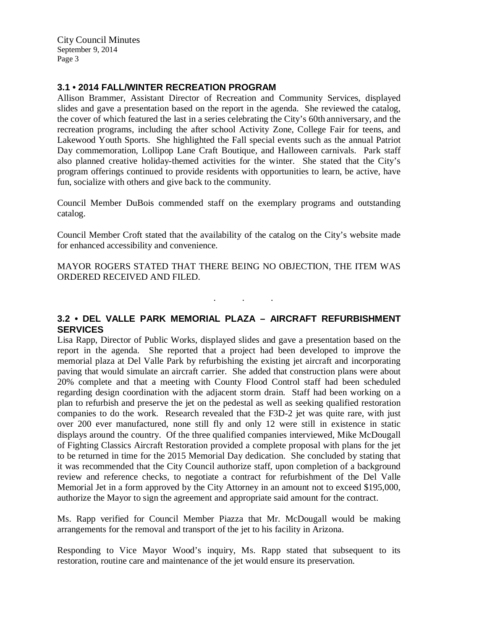City Council Minutes September 9, 2014 Page 3

## **3.1 • 2014 FALL/WINTER RECREATION PROGRAM**

Allison Brammer, Assistant Director of Recreation and Community Services, displayed slides and gave a presentation based on the report in the agenda. She reviewed the catalog, the cover of which featured the last in a series celebrating the City's 60th anniversary, and the recreation programs, including the after school Activity Zone, College Fair for teens, and Lakewood Youth Sports. She highlighted the Fall special events such as the annual Patriot Day commemoration, Lollipop Lane Craft Boutique, and Halloween carnivals. Park staff also planned creative holiday-themed activities for the winter. She stated that the City's program offerings continued to provide residents with opportunities to learn, be active, have fun, socialize with others and give back to the community.

Council Member DuBois commended staff on the exemplary programs and outstanding catalog.

Council Member Croft stated that the availability of the catalog on the City's website made for enhanced accessibility and convenience.

MAYOR ROGERS STATED THAT THERE BEING NO OBJECTION, THE ITEM WAS ORDERED RECEIVED AND FILED.

# **3.2 • DEL VALLE PARK MEMORIAL PLAZA – AIRCRAFT REFURBISHMENT SERVICES**

. . .

Lisa Rapp, Director of Public Works, displayed slides and gave a presentation based on the report in the agenda. She reported that a project had been developed to improve the memorial plaza at Del Valle Park by refurbishing the existing jet aircraft and incorporating paving that would simulate an aircraft carrier. She added that construction plans were about 20% complete and that a meeting with County Flood Control staff had been scheduled regarding design coordination with the adjacent storm drain. Staff had been working on a plan to refurbish and preserve the jet on the pedestal as well as seeking qualified restoration companies to do the work. Research revealed that the F3D-2 jet was quite rare, with just over 200 ever manufactured, none still fly and only 12 were still in existence in static displays around the country. Of the three qualified companies interviewed, Mike McDougall of Fighting Classics Aircraft Restoration provided a complete proposal with plans for the jet to be returned in time for the 2015 Memorial Day dedication. She concluded by stating that it was recommended that the City Council authorize staff, upon completion of a background review and reference checks, to negotiate a contract for refurbishment of the Del Valle Memorial Jet in a form approved by the City Attorney in an amount not to exceed \$195,000, authorize the Mayor to sign the agreement and appropriate said amount for the contract.

Ms. Rapp verified for Council Member Piazza that Mr. McDougall would be making arrangements for the removal and transport of the jet to his facility in Arizona.

Responding to Vice Mayor Wood's inquiry, Ms. Rapp stated that subsequent to its restoration, routine care and maintenance of the jet would ensure its preservation.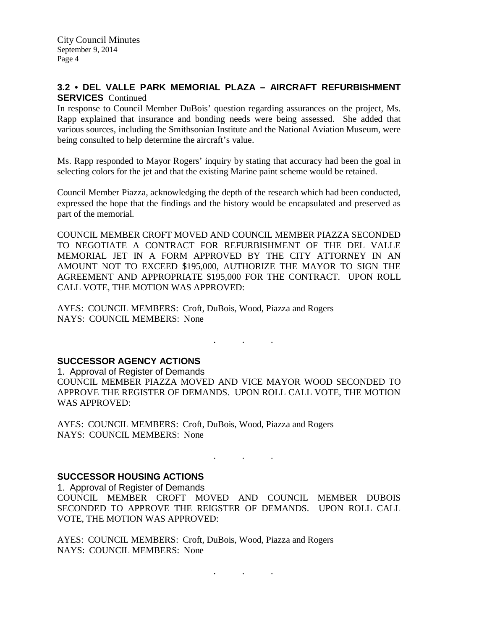## **3.2 • DEL VALLE PARK MEMORIAL PLAZA – AIRCRAFT REFURBISHMENT SERVICES** Continued

In response to Council Member DuBois' question regarding assurances on the project, Ms. Rapp explained that insurance and bonding needs were being assessed. She added that various sources, including the Smithsonian Institute and the National Aviation Museum, were being consulted to help determine the aircraft's value.

Ms. Rapp responded to Mayor Rogers' inquiry by stating that accuracy had been the goal in selecting colors for the jet and that the existing Marine paint scheme would be retained.

Council Member Piazza, acknowledging the depth of the research which had been conducted, expressed the hope that the findings and the history would be encapsulated and preserved as part of the memorial.

COUNCIL MEMBER CROFT MOVED AND COUNCIL MEMBER PIAZZA SECONDED TO NEGOTIATE A CONTRACT FOR REFURBISHMENT OF THE DEL VALLE MEMORIAL JET IN A FORM APPROVED BY THE CITY ATTORNEY IN AN AMOUNT NOT TO EXCEED \$195,000, AUTHORIZE THE MAYOR TO SIGN THE AGREEMENT AND APPROPRIATE \$195,000 FOR THE CONTRACT. UPON ROLL CALL VOTE, THE MOTION WAS APPROVED:

AYES: COUNCIL MEMBERS: Croft, DuBois, Wood, Piazza and Rogers NAYS: COUNCIL MEMBERS: None

## **SUCCESSOR AGENCY ACTIONS**

1. Approval of Register of Demands COUNCIL MEMBER PIAZZA MOVED AND VICE MAYOR WOOD SECONDED TO APPROVE THE REGISTER OF DEMANDS. UPON ROLL CALL VOTE, THE MOTION WAS APPROVED:

. . .

AYES: COUNCIL MEMBERS: Croft, DuBois, Wood, Piazza and Rogers NAYS: COUNCIL MEMBERS: None

# **SUCCESSOR HOUSING ACTIONS**

1. Approval of Register of Demands

COUNCIL MEMBER CROFT MOVED AND COUNCIL MEMBER DUBOIS SECONDED TO APPROVE THE REIGSTER OF DEMANDS. UPON ROLL CALL VOTE, THE MOTION WAS APPROVED:

. . .

AYES: COUNCIL MEMBERS: Croft, DuBois, Wood, Piazza and Rogers NAYS: COUNCIL MEMBERS: None

. . .